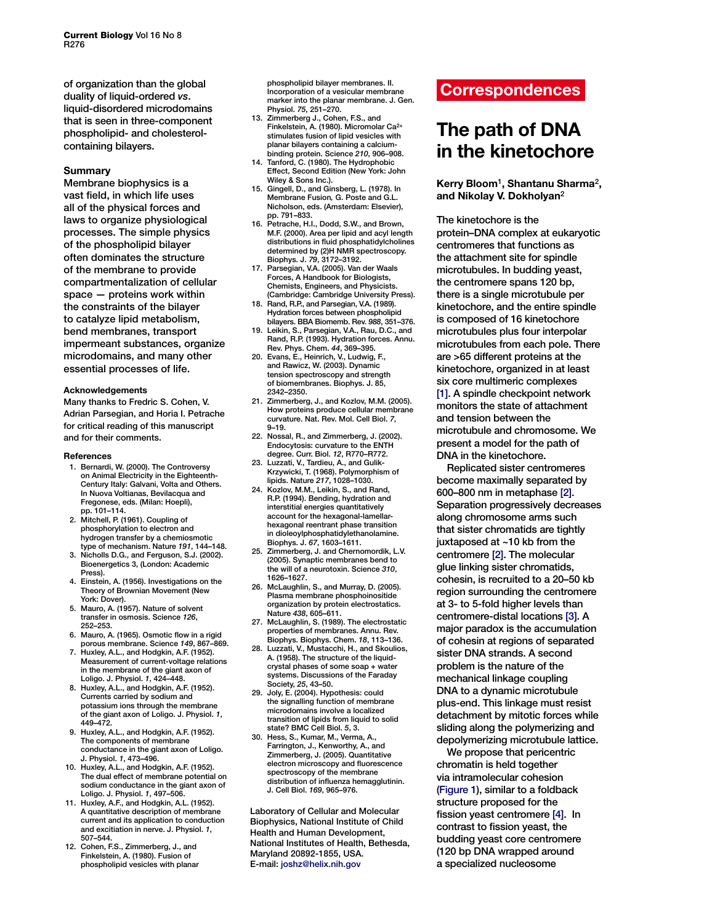of organization than the global duality of liquid-ordered *vs*. liquid-disordered microdomains that is seen in three-component phospholipid- and cholesterolcontaining bilayers.

# **Summary**

Membrane biophysics is a vast field, in which life uses all of the physical forces and laws to organize physiological processes. The simple physics of the phospholipid bilayer often dominates the structure of the membrane to provide compartmentalization of cellular space — proteins work within the constraints of the bilayer to catalyze lipid metabolism, bend membranes, transport impermeant substances, organize microdomains, and many other essential processes of life.

### **Acknowledgements**

Many thanks to Fredric S. Cohen, V. Adrian Parsegian, and Horia I. Petrache for critical reading of this manuscript and for their comments.

## **References**

- 1. Bernardi, W. (2000). The Controversy on Animal Electricity in the Eighteenth-Century Italy: Galvani, Volta and Others. In Nuova Voltianas, Bevilacqua and Fregonese, eds. (Milan: Hoepli), pp. 101–114.
- 2. Mitchell, P. (1961). Coupling of phosphorylation to electron and hydrogen transfer by a chemiosmotic type of mechanism. Nature *191*, 144–148.
- 3. Nicholls D.G., and Ferguson, S.J. (2002). Bioenergetics 3, (London: Academic Press).
- 4. Einstein, A. (1956). Investigations on the Theory of Brownian Movement (New York: Dover).
- 5. Mauro, A. (1957). Nature of solvent transfer in osmosis. Science *126*, 252–253.
- 6. Mauro, A. (1965). Osmotic flow in a rigid porous membrane. Science *149*, 867–869.
- 7. Huxley, A.L., and Hodgkin, A.F. (1952). Measurement of current-voltage relations in the membrane of the giant axon of Loligo. J. Physiol. *1*, 424–448.
- 8. Huxley, A.L., and Hodgkin, A.F. (1952). Currents carried by sodium and potassium ions through the membrane of the giant axon of Loligo. J. Physiol. *1*, 449–472.
- 9. Huxley, A.L., and Hodgkin, A.F. (1952). The components of membrane conductance in the giant axon of Loligo. J. Physiol. *1*, 473–496.
- 10. Huxley, A.L., and Hodgkin, A.F. (1952). The dual effect of membrane potential on sodium conductance in the giant axon of Loligo. J. Physiol. *1*, 497–506.
- 11. Huxley, A.F., and Hodgkin, A.L. (1952). A quantitative description of membrane current and its application to conduction and excitiation in nerve. J. Physiol. *1*, 507–544.
- 12. Cohen, F.S., Zimmerberg, J., and Finkelstein, A. (1980). Fusion of phospholipid vesicles with planar

phospholipid bilayer membranes. II. Incorporation of a vesicular membrane marker into the planar membrane. J. Gen. Physiol. *75*, 251–270.

- 13. Zimmerberg J., Cohen, F.S., and Finkelstein, A. (1980). Micromolar Ca2+ stimulates fusion of lipid vesicles with planar bilayers containing a calciumbinding protein. Science *210*, 906–908.
- 14. Tanford, C. (1980). The Hydrophobic Effect, Second Edition (New York: John Wiley & Sons Inc.).
- 15. Gingell, D., and Ginsberg, L. (1978). In Membrane Fusion*,* G. Poste and G.L. Nicholson, eds. (Amsterdam: Elsevier), pp. 791–833.
- 16. Petrache, H.I., Dodd, S.W., and Brown, M.F. (2000). Area per lipid and acyl length distributions in fluid phosphatidylcholines determined by (2)H NMR spectroscopy. Biophys. J. *79*, 3172–3192.
- 17. Parsegian, V.A. (2005). Van der Waals Forces, A Handbook for Biologists, Chemists, Engineers, and Physicists. (Cambridge: Cambridge University Press).
- 18. Rand, R.P., and Parsegian, V.A. (1989). Hydration forces between phospholipid bilayers. BBA Biomemb. Rev. *988*, 351–376.
- 19. Leikin, S., Parsegian, V.A., Rau, D.C., and Rand, R.P. (1993). Hydration forces. Annu. Rev. Phys. Chem. *44*, 369–395.
- 20. Evans, E., Heinrich, V., Ludwig, F., and Rawicz, W. (2003). Dynamic tension spectroscopy and strength of biomembranes. Biophys. J. 85, 2342–2350.
- 21. Zimmerberg, J., and Kozlov, M.M. (2005). How proteins produce cellular membrane curvature. Nat. Rev. Mol. Cell Biol. *7*, 9–19.
- 22. Nossal, R., and Zimmerberg, J. (2002). Endocytosis: curvature to the ENTH degree. Curr. Biol. *12*, R770–R772.
- 23. Luzzati, V., Tardieu, A., and Gulik-Krzywicki, T. (1968). Polymorphism of lipids. Nature *217*, 1028–1030.
- 24. Kozlov, M.M., Leikin, S., and Rand, R.P. (1994). Bending, hydration and interstitial energies quantitatively account for the hexagonal-lamellarhexagonal reentrant phase transition in dioleoylphosphatidylethanolamine. Biophys. J. *67*, 1603–1611.
- 25. Zimmerberg, J. and Chernomordik, L.V. (2005). Synaptic membranes bend to the will of a neurotoxin. Science *310*, 1626–1627.
- 26. McLaughlin, S., and Murray, D. (2005). Plasma membrane phosphoinositide organization by protein electrostatics. Nature *438*, 605–611.
- 27. McLaughlin, S. (1989). The electrostatic properties of membranes. Annu. Rev. Biophys. Biophys. Chem. *18*, 113–136.
- 28. Luzzati, V., Mustacchi, H., and Skoulios, A. (1958). The structure of the liquidcrystal phases of some soap + water systems. Discussions of the Faraday Society, *25*, 43–50.
- 29. Joly, E. (2004). Hypothesis: could the signalling function of membrane microdomains involve a localized transition of lipids from liquid to solid state? BMC Cell Biol. *5*, 3.
- 30. Hess, S., Kumar, M., Verma, A., Farrington, J., Kenworthy, A., and Zimmerberg, J. (2005). Quantitative electron microscopy and fluorescence spectroscopy of the membrane distribution of influenza hemagglutinin. J. Cell Biol. *169*, 965–976.

Laboratory of Cellular and Molecular Biophysics, National Institute of Child Health and Human Development, National Institutes of Health, Bethesda, Maryland 20892-1855, USA. E-mail: [joshz@helix.nih.gov](mailto:joshz@helix.nih.gov)

# **Correspondences**

# **The path of DNA in the kinetochore**

# **Kerry Bloom**[1](#page-2-0)**, Shantanu Sharma**[2](#page-2-0)**, and Nikolay V. Dokholyan**[2](#page-2-0)

The kinetochore is the protein–DNA complex at eukaryotic centromeres that functions as the attachment site for spindle microtubules. In budding yeast, the centromere spans 120 bp, there is a single microtubule per kinetochore, and the entire spindle is composed of 16 kinetochore microtubules plus four interpolar microtubules from each pole. There are >65 different proteins at the kinetochore, organized in at least six core multimeric complexes [\[1\].](#page-2-0) A spindle checkpoint network monitors the state of attachment and tension between the microtubule and chromosome. We present a model for the path of DNA in the kinetochore.

Replicated sister centromeres become maximally separated by 600–800 nm in metaphase [\[2\]](#page-2-0). Separation progressively decreases along chromosome arms such that sister chromatids are tightly juxtaposed at ~10 kb from the centromere [\[2\].](#page-2-0) The molecular glue linking sister chromatids, cohesin, is recruited to a 20–50 kb region surrounding the centromere at 3- to 5-fold higher levels than centromere-distal locations [\[3\].](#page-2-0) A major paradox is the accumulation of cohesin at regions of separated sister DNA strands. A second problem is the nature of the mechanical linkage coupling DNA to a dynamic microtubule plus-end. This linkage must resist detachment by mitotic forces while sliding along the polymerizing and depolymerizing microtubule lattice.

We propose that pericentric chromatin is held together via intramolecular cohesion [\(Figure](#page-1-0) 1), similar to a foldback structure proposed for the fission yeast centromere [\[4\].](#page-2-0) In contrast to fission yeast, the budding yeast core centromere (120 bp DNA wrapped around a specialized nucleosome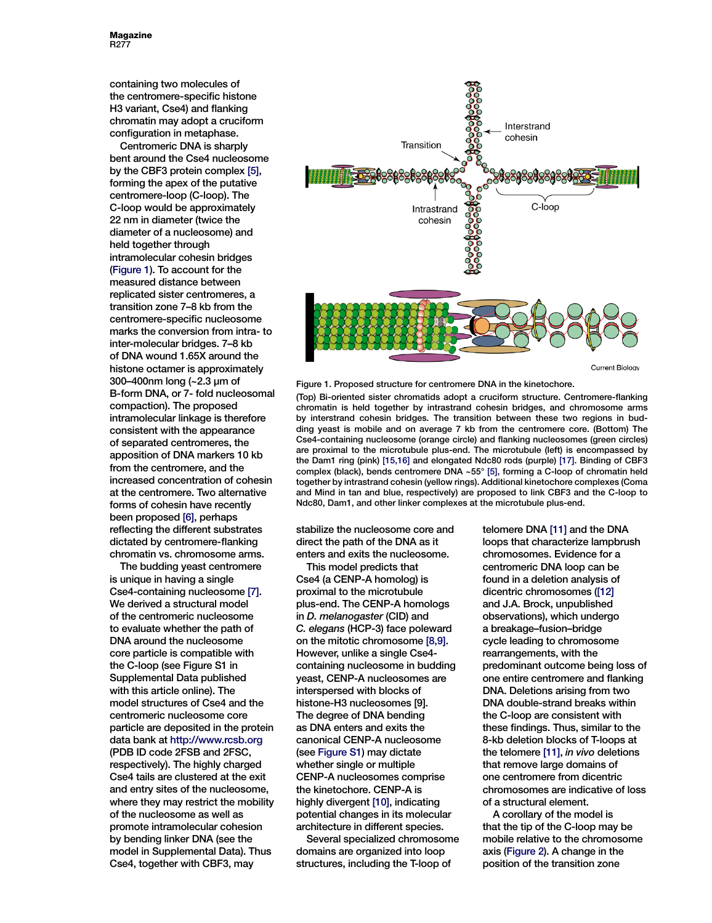<span id="page-1-0"></span>containing two molecules of the centromere-specific histone H3 variant, Cse4) and flanking chromatin may adopt a cruciform configuration in metaphase.

Centromeric DNA is sharply bent around the Cse4 nucleosome by the CBF3 protein complex [\[5\]](#page-2-0), forming the apex of the putative centromere-loop (C-loop). The C-loop would be approximately 22 nm in diameter (twice the diameter of a nucleosome) and held together through intramolecular cohesin bridges (Figure 1). To account for the measured distance between replicated sister centromeres, a transition zone 7–8 kb from the centromere-specific nucleosome marks the conversion from intra- to inter-molecular bridges. 7–8 kb of DNA wound 1.65X around the histone octamer is approximately 300–400nm long (~2.3 µm of B-form DNA, or 7- fold nucleosomal compaction). The proposed intramolecular linkage is therefore consistent with the appearance of separated centromeres, the apposition of DNA markers 10 kb from the centromere, and the increased concentration of cohesin at the centromere. Two alternative forms of cohesin have recently been proposed [\[6\],](#page-2-0) perhaps reflecting the different substrates dictated by centromere-flanking chromatin vs. chromosome arms.

The budding yeast centromere is unique in having a single Cse4-containing nucleosome [\[7\].](#page-2-0) We derived a structural model of the centromeric nucleosome to evaluate whether the path of DNA around the nucleosome core particle is compatible with the C-loop (see Figure S1 in Supplemental Data published with this article online). The model structures of Cse4 and the centromeric nucleosome core particle are deposited in the protein data bank at<http://www.rcsb.org> (PDB ID code 2FSB and 2FSC, respectively). The highly charged Cse4 tails are clustered at the exit and entry sites of the nucleosome, where they may restrict the mobility of the nucleosome as well as promote intramolecular cohesion by bending linker DNA (see the model in Supplemental Data). Thus Cse4, together with CBF3, may



Figure 1. Proposed structure for centromere DNA in the kinetochore.

(Top) Bi-oriented sister chromatids adopt a cruciform structure. Centromere-flanking chromatin is held together by intrastrand cohesin bridges, and chromosome arms by interstrand cohesin bridges. The transition between these two regions in budding yeast is mobile and on average 7 kb from the centromere core. (Bottom) The Cse4-containing nucleosome (orange circle) and flanking nucleosomes (green circles) are proximal to the microtubule plus-end. The microtubule (left) is encompassed by the Dam1 ring (pink) [\[15,16\]](#page-2-0) and elongated Ndc80 rods (purple) [\[17\].](#page-2-0) Binding of CBF3 complex (black), bends centromere DNA ~55° [\[5\],](#page-2-0) forming a C-loop of chromatin held together by intrastrand cohesin (yellow rings). Additional kinetochore complexes (Coma and Mind in tan and blue, respectively) are proposed to link CBF3 and the C-loop to Ndc80, Dam1, and other linker complexes at the microtubule plus-end.

stabilize the nucleosome core and direct the path of the DNA as it enters and exits the nucleosome.

This model predicts that Cse4 (a CENP-A homolog) is proximal to the microtubule plus-end. The CENP-A homologs in *D. melanogaster* (CID) and *C. elegans* (HCP-3) face poleward on the mitotic chromosome [\[8,9\].](#page-2-0) However, unlike a single Cse4 containing nucleosome in budding yeast, CENP-A nucleosomes are interspersed with blocks of histone-H3 nucleosomes [9]. The degree of DNA bending as DNA enters and exits the canonical CENP-A nucleosome (see Figure S1) may dictate whether single or multiple CENP-A nucleosomes comprise the kinetochore. CENP-A is highly divergent [\[10\],](#page-2-0) indicating potential changes in its molecular architecture in different species.

Several specialized chromosome domains are organized into loop structures, including the T-loop of

telomere DNA [\[11\]](#page-2-0) and the DNA loops that characterize lampbrush chromosomes. Evidence for a centromeric DNA loop can be found in a deletion analysis of dicentric chromosomes [\(\[12\]](#page-2-0) and J.A. Brock, unpublished observations), which undergo a breakage–fusion–bridge cycle leading to chromosome rearrangements, with the predominant outcome being loss of one entire centromere and flanking DNA. Deletions arising from two DNA double-strand breaks within the C-loop are consistent with these findings. Thus, similar to the 8-kb deletion blocks of T-loops at the telomere [\[11\],](#page-2-0) *in vivo* deletions that remove large domains of one centromere from dicentric chromosomes are indicative of loss of a structural element.

A corollary of the model is that the tip of the C-loop may be mobile relative to the chromosome axis [\(Figure 2\)](#page-2-0). A change in the position of the transition zone